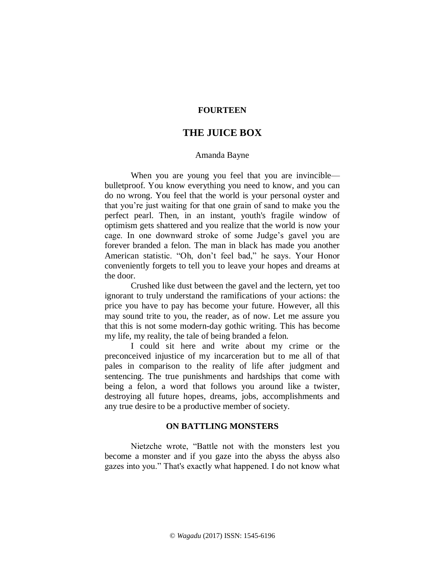# **FOURTEEN**

# **THE JUICE BOX**

### Amanda Bayne

When you are young you feel that you are invincible bulletproof. You know everything you need to know, and you can do no wrong. You feel that the world is your personal oyster and that you're just waiting for that one grain of sand to make you the perfect pearl. Then, in an instant, youth's fragile window of optimism gets shattered and you realize that the world is now your cage. In one downward stroke of some Judge's gavel you are forever branded a felon. The man in black has made you another American statistic. "Oh, don't feel bad," he says. Your Honor conveniently forgets to tell you to leave your hopes and dreams at the door.

Crushed like dust between the gavel and the lectern, yet too ignorant to truly understand the ramifications of your actions: the price you have to pay has become your future. However, all this may sound trite to you, the reader, as of now. Let me assure you that this is not some modern-day gothic writing. This has become my life, my reality, the tale of being branded a felon.

I could sit here and write about my crime or the preconceived injustice of my incarceration but to me all of that pales in comparison to the reality of life after judgment and sentencing. The true punishments and hardships that come with being a felon, a word that follows you around like a twister, destroying all future hopes, dreams, jobs, accomplishments and any true desire to be a productive member of society.

### **ON BATTLING MONSTERS**

Nietzche wrote, "Battle not with the monsters lest you become a monster and if you gaze into the abyss the abyss also gazes into you." That's exactly what happened. I do not know what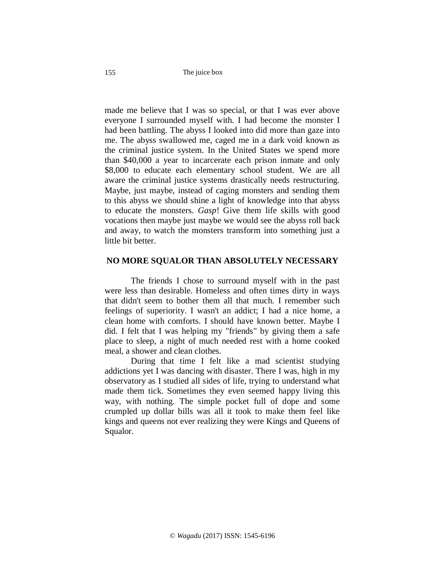made me believe that I was so special, or that I was ever above everyone I surrounded myself with. I had become the monster I had been battling. The abyss I looked into did more than gaze into me. The abyss swallowed me, caged me in a dark void known as the criminal justice system. In the United States we spend more than \$40,000 a year to incarcerate each prison inmate and only \$8,000 to educate each elementary school student. We are all aware the criminal justice systems drastically needs restructuring. Maybe, just maybe, instead of caging monsters and sending them to this abyss we should shine a light of knowledge into that abyss to educate the monsters. *Gasp*! Give them life skills with good vocations then maybe just maybe we would see the abyss roll back and away, to watch the monsters transform into something just a little bit better.

# **NO MORE SQUALOR THAN ABSOLUTELY NECESSARY**

The friends I chose to surround myself with in the past were less than desirable. Homeless and often times dirty in ways that didn't seem to bother them all that much. I remember such feelings of superiority. I wasn't an addict; I had a nice home, a clean home with comforts. I should have known better. Maybe I did. I felt that I was helping my "friends" by giving them a safe place to sleep, a night of much needed rest with a home cooked meal, a shower and clean clothes.

During that time I felt like a mad scientist studying addictions yet I was dancing with disaster. There I was, high in my observatory as I studied all sides of life, trying to understand what made them tick. Sometimes they even seemed happy living this way, with nothing. The simple pocket full of dope and some crumpled up dollar bills was all it took to make them feel like kings and queens not ever realizing they were Kings and Queens of Squalor.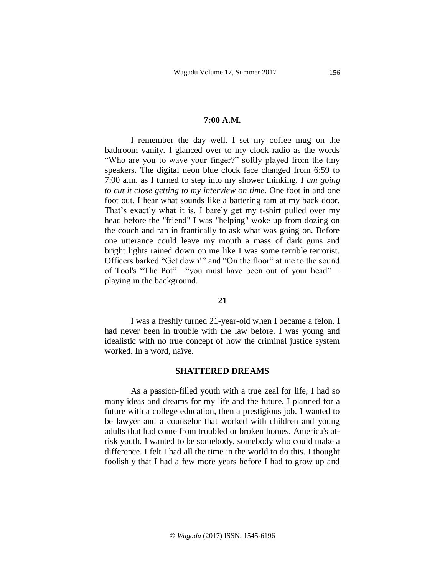#### **7:00 A.M.**

I remember the day well. I set my coffee mug on the bathroom vanity. I glanced over to my clock radio as the words "Who are you to wave your finger?" softly played from the tiny speakers. The digital neon blue clock face changed from 6:59 to 7:00 a.m. as I turned to step into my shower thinking, *I am going to cut it close getting to my interview on time.* One foot in and one foot out. I hear what sounds like a battering ram at my back door. That's exactly what it is. I barely get my t-shirt pulled over my head before the "friend" I was "helping" woke up from dozing on the couch and ran in frantically to ask what was going on. Before one utterance could leave my mouth a mass of dark guns and bright lights rained down on me like I was some terrible terrorist. Officers barked "Get down!" and "On the floor" at me to the sound of Tool's "The Pot"—"you must have been out of your head" playing in the background.

# **21**

I was a freshly turned 21-year-old when I became a felon. I had never been in trouble with the law before. I was young and idealistic with no true concept of how the criminal justice system worked. In a word, naïve.

### **SHATTERED DREAMS**

As a passion-filled youth with a true zeal for life, I had so many ideas and dreams for my life and the future. I planned for a future with a college education, then a prestigious job. I wanted to be lawyer and a counselor that worked with children and young adults that had come from troubled or broken homes, America's atrisk youth. I wanted to be somebody, somebody who could make a difference. I felt I had all the time in the world to do this. I thought foolishly that I had a few more years before I had to grow up and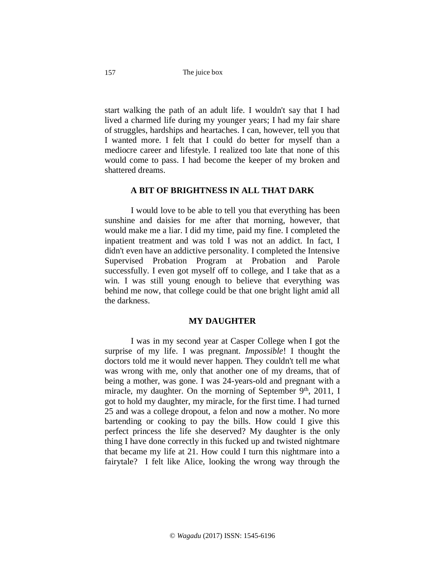157

start walking the path of an adult life. I wouldn't say that I had lived a charmed life during my younger years; I had my fair share of struggles, hardships and heartaches. I can, however, tell you that I wanted more. I felt that I could do better for myself than a mediocre career and lifestyle. I realized too late that none of this would come to pass. I had become the keeper of my broken and shattered dreams.

#### **A BIT OF BRIGHTNESS IN ALL THAT DARK**

I would love to be able to tell you that everything has been sunshine and daisies for me after that morning, however, that would make me a liar. I did my time, paid my fine. I completed the inpatient treatment and was told I was not an addict. In fact, I didn't even have an addictive personality. I completed the Intensive Supervised Probation Program at Probation and Parole successfully. I even got myself off to college, and I take that as a win. I was still young enough to believe that everything was behind me now, that college could be that one bright light amid all the darkness.

## **MY DAUGHTER**

I was in my second year at Casper College when I got the surprise of my life. I was pregnant. *Impossible*! I thought the doctors told me it would never happen. They couldn't tell me what was wrong with me, only that another one of my dreams, that of being a mother, was gone. I was 24-years-old and pregnant with a miracle, my daughter. On the morning of September  $9<sup>th</sup>$ , 2011, I got to hold my daughter, my miracle, for the first time. I had turned 25 and was a college dropout, a felon and now a mother. No more bartending or cooking to pay the bills. How could I give this perfect princess the life she deserved? My daughter is the only thing I have done correctly in this fucked up and twisted nightmare that became my life at 21. How could I turn this nightmare into a fairytale? I felt like Alice, looking the wrong way through the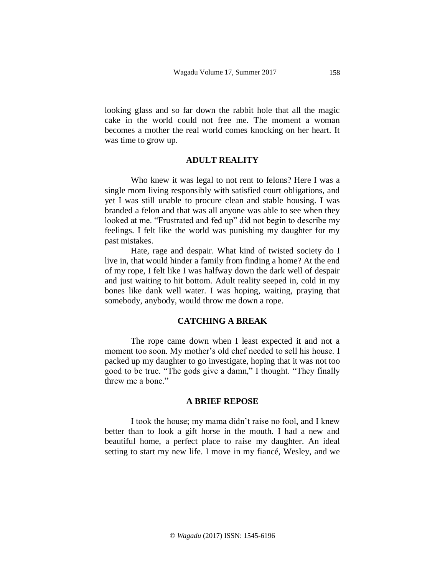looking glass and so far down the rabbit hole that all the magic cake in the world could not free me. The moment a woman becomes a mother the real world comes knocking on her heart. It was time to grow up.

# **ADULT REALITY**

Who knew it was legal to not rent to felons? Here I was a single mom living responsibly with satisfied court obligations, and yet I was still unable to procure clean and stable housing. I was branded a felon and that was all anyone was able to see when they looked at me. "Frustrated and fed up" did not begin to describe my feelings. I felt like the world was punishing my daughter for my past mistakes.

Hate, rage and despair. What kind of twisted society do I live in, that would hinder a family from finding a home? At the end of my rope, I felt like I was halfway down the dark well of despair and just waiting to hit bottom. Adult reality seeped in, cold in my bones like dank well water. I was hoping, waiting, praying that somebody, anybody, would throw me down a rope.

## **CATCHING A BREAK**

The rope came down when I least expected it and not a moment too soon. My mother's old chef needed to sell his house. I packed up my daughter to go investigate, hoping that it was not too good to be true. "The gods give a damn," I thought. "They finally threw me a bone."

### **A BRIEF REPOSE**

I took the house; my mama didn't raise no fool, and I knew better than to look a gift horse in the mouth. I had a new and beautiful home, a perfect place to raise my daughter. An ideal setting to start my new life. I move in my fiancé, Wesley, and we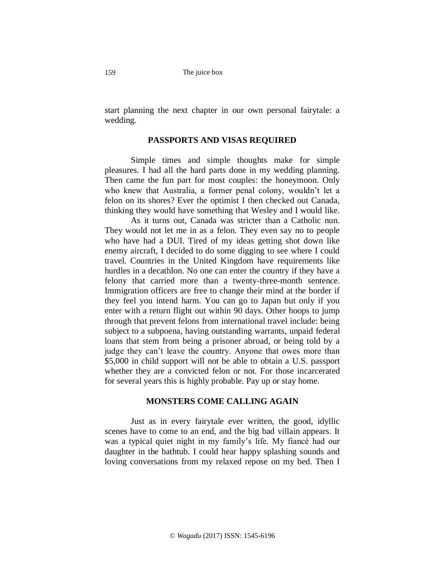start planning the next chapter in our own personal fairytale: a wedding.

# **PASSPORTS AND VISAS REQUIRED**

Simple times and simple thoughts make for simple pleasures. I had all the hard parts done in my wedding planning. Then came the fun part for most couples: the honeymoon. Only who knew that Australia, a former penal colony, wouldn't let a felon on its shores? Ever the optimist I then checked out Canada, thinking they would have something that Wesley and I would like.

As it turns out, Canada was stricter than a Catholic nun. They would not let me in as a felon. They even say no to people who have had a DUI. Tired of my ideas getting shot down like enemy aircraft, I decided to do some digging to see where I could travel. Countries in the United Kingdom have requirements like hurdles in a decathlon. No one can enter the country if they have a felony that carried more than a twenty-three-month sentence. Immigration officers are free to change their mind at the border if they feel you intend harm. You can go to Japan but only if you enter with a return flight out within 90 days. Other hoops to jump through that prevent felons from international travel include: being subject to a subpoena, having outstanding warrants, unpaid federal loans that stem from being a prisoner abroad, or being told by a judge they can't leave the country. Anyone that owes more than \$5,000 in child support will not be able to obtain a U.S. passport whether they are a convicted felon or not. For those incarcerated for several years this is highly probable. Pay up or stay home.

# **MONSTERS COME CALLING AGAIN**

Just as in every fairytale ever written, the good, idyllic scenes have to come to an end, and the big bad villain appears. It was a typical quiet night in my family's life. My fiancé had our daughter in the bathtub. I could hear happy splashing sounds and loving conversations from my relaxed repose on my bed. Then I

159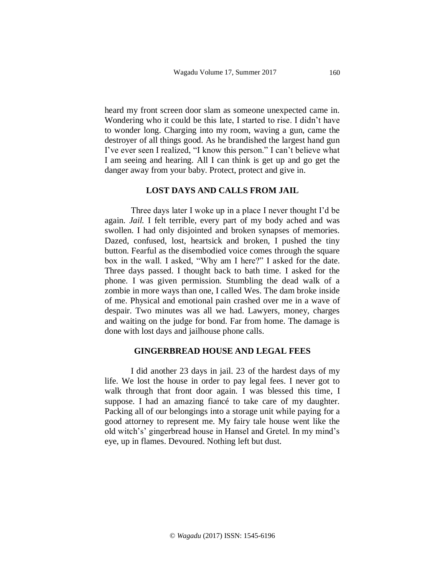heard my front screen door slam as someone unexpected came in. Wondering who it could be this late, I started to rise. I didn't have to wonder long. Charging into my room, waving a gun, came the destroyer of all things good. As he brandished the largest hand gun I've ever seen I realized, "I know this person." I can't believe what I am seeing and hearing. All I can think is get up and go get the danger away from your baby. Protect, protect and give in.

#### **LOST DAYS AND CALLS FROM JAIL**

Three days later I woke up in a place I never thought I'd be again. *Jail.* I felt terrible, every part of my body ached and was swollen. I had only disjointed and broken synapses of memories. Dazed, confused, lost, heartsick and broken, I pushed the tiny button. Fearful as the disembodied voice comes through the square box in the wall. I asked, "Why am I here?" I asked for the date. Three days passed. I thought back to bath time. I asked for the phone. I was given permission. Stumbling the dead walk of a zombie in more ways than one, I called Wes. The dam broke inside of me. Physical and emotional pain crashed over me in a wave of despair. Two minutes was all we had. Lawyers, money, charges and waiting on the judge for bond. Far from home. The damage is done with lost days and jailhouse phone calls.

# **GINGERBREAD HOUSE AND LEGAL FEES**

I did another 23 days in jail. 23 of the hardest days of my life. We lost the house in order to pay legal fees. I never got to walk through that front door again. I was blessed this time, I suppose. I had an amazing fiancé to take care of my daughter. Packing all of our belongings into a storage unit while paying for a good attorney to represent me. My fairy tale house went like the old witch's' gingerbread house in Hansel and Gretel. In my mind's eye, up in flames. Devoured. Nothing left but dust.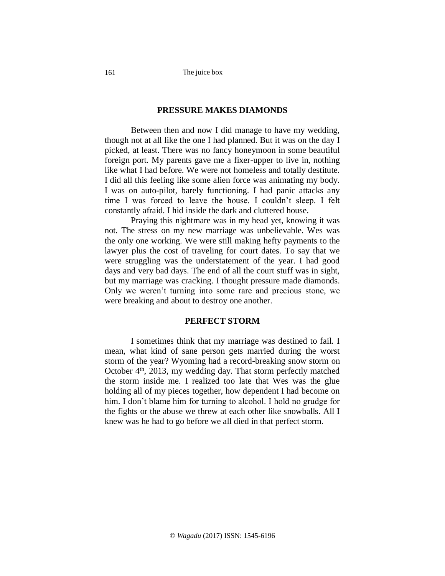# **PRESSURE MAKES DIAMONDS**

Between then and now I did manage to have my wedding, though not at all like the one I had planned. But it was on the day I picked, at least. There was no fancy honeymoon in some beautiful foreign port. My parents gave me a fixer-upper to live in, nothing like what I had before. We were not homeless and totally destitute. I did all this feeling like some alien force was animating my body. I was on auto-pilot, barely functioning. I had panic attacks any time I was forced to leave the house. I couldn't sleep. I felt constantly afraid. I hid inside the dark and cluttered house.

Praying this nightmare was in my head yet, knowing it was not. The stress on my new marriage was unbelievable. Wes was the only one working. We were still making hefty payments to the lawyer plus the cost of traveling for court dates. To say that we were struggling was the understatement of the year. I had good days and very bad days. The end of all the court stuff was in sight, but my marriage was cracking. I thought pressure made diamonds. Only we weren't turning into some rare and precious stone, we were breaking and about to destroy one another.

## **PERFECT STORM**

I sometimes think that my marriage was destined to fail. I mean, what kind of sane person gets married during the worst storm of the year? Wyoming had a record-breaking snow storm on October 4<sup>th</sup>, 2013, my wedding day. That storm perfectly matched the storm inside me. I realized too late that Wes was the glue holding all of my pieces together, how dependent I had become on him. I don't blame him for turning to alcohol. I hold no grudge for the fights or the abuse we threw at each other like snowballs. All I knew was he had to go before we all died in that perfect storm.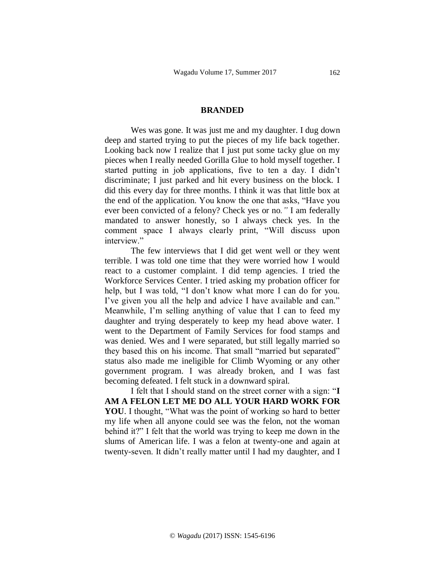#### **BRANDED**

Wes was gone. It was just me and my daughter. I dug down deep and started trying to put the pieces of my life back together. Looking back now I realize that I just put some tacky glue on my pieces when I really needed Gorilla Glue to hold myself together. I started putting in job applications, five to ten a day. I didn't discriminate; I just parked and hit every business on the block. I did this every day for three months. I think it was that little box at the end of the application. You know the one that asks, "Have you ever been convicted of a felony? Check yes or no*."* I am federally mandated to answer honestly, so I always check yes. In the comment space I always clearly print, "Will discuss upon interview."

The few interviews that I did get went well or they went terrible. I was told one time that they were worried how I would react to a customer complaint. I did temp agencies. I tried the Workforce Services Center. I tried asking my probation officer for help, but I was told, "I don't know what more I can do for you. I've given you all the help and advice I have available and can." Meanwhile, I'm selling anything of value that I can to feed my daughter and trying desperately to keep my head above water. I went to the Department of Family Services for food stamps and was denied. Wes and I were separated, but still legally married so they based this on his income. That small "married but separated" status also made me ineligible for Climb Wyoming or any other government program. I was already broken, and I was fast becoming defeated. I felt stuck in a downward spiral.

I felt that I should stand on the street corner with a sign: "**I AM A FELON LET ME DO ALL YOUR HARD WORK FOR YOU**. I thought, "What was the point of working so hard to better my life when all anyone could see was the felon, not the woman behind it?" I felt that the world was trying to keep me down in the slums of American life. I was a felon at twenty-one and again at twenty-seven. It didn't really matter until I had my daughter, and I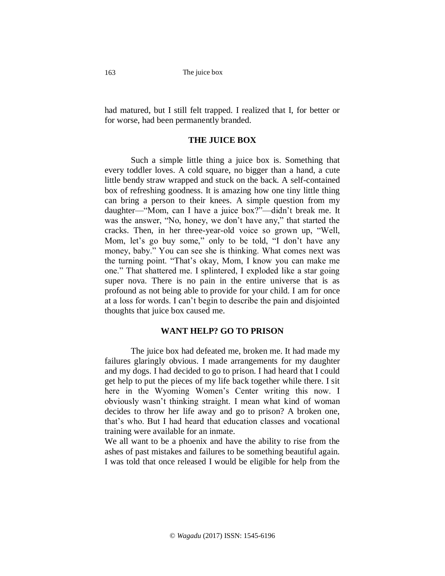had matured, but I still felt trapped. I realized that I, for better or for worse, had been permanently branded.

# **THE JUICE BOX**

Such a simple little thing a juice box is. Something that every toddler loves. A cold square, no bigger than a hand, a cute little bendy straw wrapped and stuck on the back. A self-contained box of refreshing goodness. It is amazing how one tiny little thing can bring a person to their knees. A simple question from my daughter—"Mom, can I have a juice box?"—didn't break me. It was the answer, "No, honey, we don't have any," that started the cracks. Then, in her three-year-old voice so grown up, "Well, Mom, let's go buy some," only to be told, "I don't have any money, baby." You can see she is thinking. What comes next was the turning point. "That's okay, Mom, I know you can make me one." That shattered me. I splintered, I exploded like a star going super nova. There is no pain in the entire universe that is as profound as not being able to provide for your child. I am for once at a loss for words. I can't begin to describe the pain and disjointed thoughts that juice box caused me.

#### **WANT HELP? GO TO PRISON**

The juice box had defeated me, broken me. It had made my failures glaringly obvious. I made arrangements for my daughter and my dogs. I had decided to go to prison. I had heard that I could get help to put the pieces of my life back together while there. I sit here in the Wyoming Women's Center writing this now. I obviously wasn't thinking straight. I mean what kind of woman decides to throw her life away and go to prison? A broken one, that's who. But I had heard that education classes and vocational training were available for an inmate.

We all want to be a phoenix and have the ability to rise from the ashes of past mistakes and failures to be something beautiful again. I was told that once released I would be eligible for help from the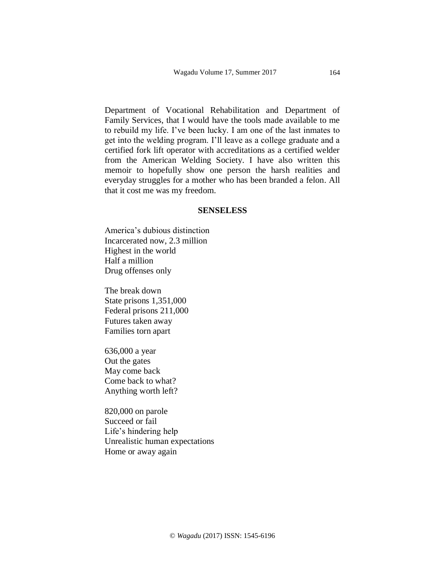Department of Vocational Rehabilitation and Department of Family Services, that I would have the tools made available to me to rebuild my life. I've been lucky. I am one of the last inmates to get into the welding program. I'll leave as a college graduate and a certified fork lift operator with accreditations as a certified welder from the American Welding Society. I have also written this memoir to hopefully show one person the harsh realities and everyday struggles for a mother who has been branded a felon. All that it cost me was my freedom.

#### **SENSELESS**

America's dubious distinction Incarcerated now, 2.3 million Highest in the world Half a million Drug offenses only

The break down State prisons 1,351,000 Federal prisons 211,000 Futures taken away Families torn apart

636,000 a year Out the gates May come back Come back to what? Anything worth left?

820,000 on parole Succeed or fail Life's hindering help Unrealistic human expectations Home or away again